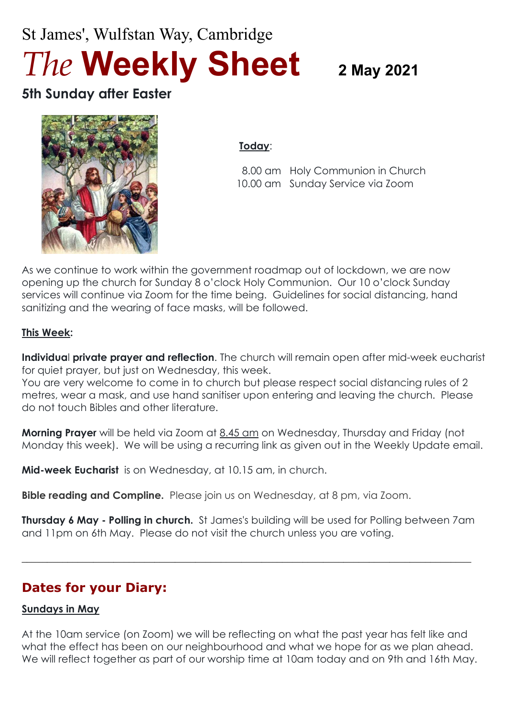# St James', Wulfstan Way, Cambridge *The* **Weekly Sheet 2 May <sup>2021</sup>**

## **5th Sunday after Easter**



#### **Today**:

 8.00 am Holy Communion in Church 10.00 am Sunday Service via Zoom

As we continue to work within the government roadmap out of lockdown, we are now opening up the church for Sunday 8 o'clock Holy Communion. Our 10 o'clock Sunday services will continue via Zoom for the time being. Guidelines for social distancing, hand sanitizing and the wearing of face masks, will be followed.

#### **This Week:**

**Individua**l **private prayer and reflection**. The church will remain open after mid-week eucharist for quiet prayer, but just on Wednesday, this week.

You are very welcome to come in to church but please respect social distancing rules of 2 metres, wear a mask, and use hand sanitiser upon entering and leaving the church. Please do not touch Bibles and other literature.

**Morning Prayer** will be held via Zoom at 8.45 am on Wednesday, Thursday and Friday (not Monday this week). We will be using a recurring link as given out in the Weekly Update email.

**Mid-week Eucharist** is on Wednesday, at 10.15 am, in church.

**Bible reading and Compline.** Please join us on Wednesday, at 8 pm, via Zoom.

**Thursday 6 May - Polling in church.** St James's building will be used for Polling between 7am and 11pm on 6th May. Please do not visit the church unless you are voting.

 $\_$  , and the set of the set of the set of the set of the set of the set of the set of the set of the set of the set of the set of the set of the set of the set of the set of the set of the set of the set of the set of th

## **Dates for your Diary:**

#### **Sundays in May**

At the 10am service (on Zoom) we will be reflecting on what the past year has felt like and what the effect has been on our neighbourhood and what we hope for as we plan ahead. We will reflect together as part of our worship time at 10am today and on 9th and 16th May.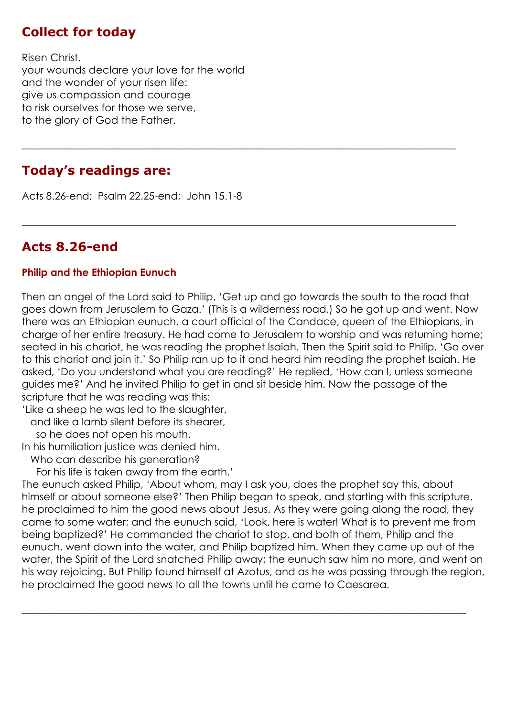#### **Collect for today**

Risen Christ, your wounds declare your love for the world and the wonder of your risen life: give us compassion and courage to risk ourselves for those we serve, to the glory of God the Father.

#### **Today's readings are:**

Acts 8.26-end; Psalm 22.25-end; John 15.1-8

### **Acts 8.26-end**

#### **Philip and the Ethiopian Eunuch**

Then an angel of the Lord said to Philip, 'Get up and go towards the south to the road that goes down from Jerusalem to Gaza.' (This is a wilderness road.) So he got up and went. Now there was an Ethiopian eunuch, a court official of the Candace, queen of the Ethiopians, in charge of her entire treasury. He had come to Jerusalem to worship and was returning home; seated in his chariot, he was reading the prophet Isaiah. Then the Spirit said to Philip, 'Go over to this chariot and join it.' So Philip ran up to it and heard him reading the prophet Isaiah. He asked, 'Do you understand what you are reading?' He replied, 'How can I, unless someone guides me?' And he invited Philip to get in and sit beside him. Now the passage of the scripture that he was reading was this:

**\_\_\_\_\_\_\_\_\_\_\_\_\_\_\_\_\_\_\_\_\_\_\_\_\_\_\_\_\_\_\_\_\_\_\_\_\_\_\_\_\_\_\_\_\_\_\_\_\_\_\_\_\_\_\_\_\_\_\_\_\_\_\_\_\_\_\_\_\_\_\_\_\_\_\_\_\_\_\_\_\_\_\_\_\_**

 $\_$  , and the set of the set of the set of the set of the set of the set of the set of the set of the set of the set of the set of the set of the set of the set of the set of the set of the set of the set of the set of th

'Like a sheep he was led to the slaughter,

and like a lamb silent before its shearer,

so he does not open his mouth.

In his humiliation justice was denied him.

Who can describe his generation?

For his life is taken away from the earth.'

The eunuch asked Philip, 'About whom, may I ask you, does the prophet say this, about himself or about someone else?' Then Philip began to speak, and starting with this scripture, he proclaimed to him the good news about Jesus. As they were going along the road, they came to some water; and the eunuch said, 'Look, here is water! What is to prevent me from being baptized?' He commanded the chariot to stop, and both of them, Philip and the eunuch, went down into the water, and Philip baptized him. When they came up out of the water, the Spirit of the Lord snatched Philip away; the eunuch saw him no more, and went on his way rejoicing. But Philip found himself at Azotus, and as he was passing through the region, he proclaimed the good news to all the towns until he came to Caesarea.

 $\_$  , and the set of the set of the set of the set of the set of the set of the set of the set of the set of the set of the set of the set of the set of the set of the set of the set of the set of the set of the set of th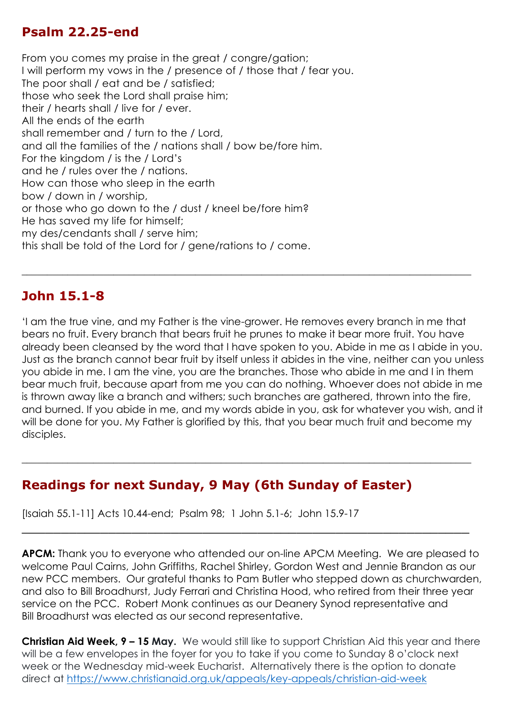#### **Psalm 22.25-end**

From you comes my praise in the great / congre/gation; I will perform my vows in the / presence of / those that / fear you. The poor shall / eat and be / satisfied; those who seek the Lord shall praise him; their / hearts shall / live for / ever. All the ends of the earth shall remember and / turn to the / Lord, and all the families of the / nations shall / bow be/fore him. For the kingdom / is the / Lord's and he / rules over the / nations. How can those who sleep in the earth bow / down in / worship, or those who go down to the / dust / kneel be/fore him? He has saved my life for himself; my des/cendants shall / serve him; this shall be told of the Lord for / gene/rations to / come.

#### **John 15.1-8**

'I am the true vine, and my Father is the vine-grower. He removes every branch in me that bears no fruit. Every branch that bears fruit he prunes to make it bear more fruit. You have already been cleansed by the word that I have spoken to you. Abide in me as I abide in you. Just as the branch cannot bear fruit by itself unless it abides in the vine, neither can you unless you abide in me. I am the vine, you are the branches. Those who abide in me and I in them bear much fruit, because apart from me you can do nothing. Whoever does not abide in me is thrown away like a branch and withers; such branches are gathered, thrown into the fire, and burned. If you abide in me, and my words abide in you, ask for whatever you wish, and it will be done for you. My Father is glorified by this, that you bear much fruit and become my disciples.

**\_\_\_\_\_\_\_\_\_\_\_\_\_\_\_\_\_\_\_\_\_\_\_\_\_\_\_\_\_\_\_\_\_\_\_\_\_\_\_\_\_\_\_\_\_\_\_\_\_\_\_\_\_\_\_\_\_\_\_\_\_\_\_\_\_\_\_\_\_\_\_\_\_\_\_\_\_\_\_\_\_\_\_\_\_\_\_\_**

\_\_\_\_\_\_\_\_\_\_\_\_\_\_\_\_\_\_\_\_\_\_\_\_\_\_\_\_\_\_\_\_\_\_\_\_\_\_\_\_\_\_\_\_\_\_\_\_\_\_\_\_\_\_\_\_\_

 $\_$  , and the set of the set of the set of the set of the set of the set of the set of the set of the set of the set of the set of the set of the set of the set of the set of the set of the set of the set of the set of th

#### **Readings for next Sunday, 9 May (6th Sunday of Easter)**

[Isaiah 55.1-11] Acts 10.44-end; Psalm 98; 1 John 5.1-6; John 15.9-17

**APCM:** Thank you to everyone who attended our on-line APCM Meeting. We are pleased to welcome Paul Cairns, John Griffiths, Rachel Shirley, Gordon West and Jennie Brandon as our new PCC members. Our grateful thanks to Pam Butler who stepped down as churchwarden, and also to Bill Broadhurst, Judy Ferrari and Christina Hood, who retired from their three year service on the PCC. Robert Monk continues as our Deanery Synod representative and Bill Broadhurst was elected as our second representative.

**Christian Aid Week, 9 – 15 May.** We would still like to support Christian Aid this year and there will be a few envelopes in the foyer for you to take if you come to Sunday 8 o'clock next week or the Wednesday mid-week Eucharist. Alternatively there is the option to donate direct at<https://www.christianaid.org.uk/appeals/key-appeals/christian-aid-week>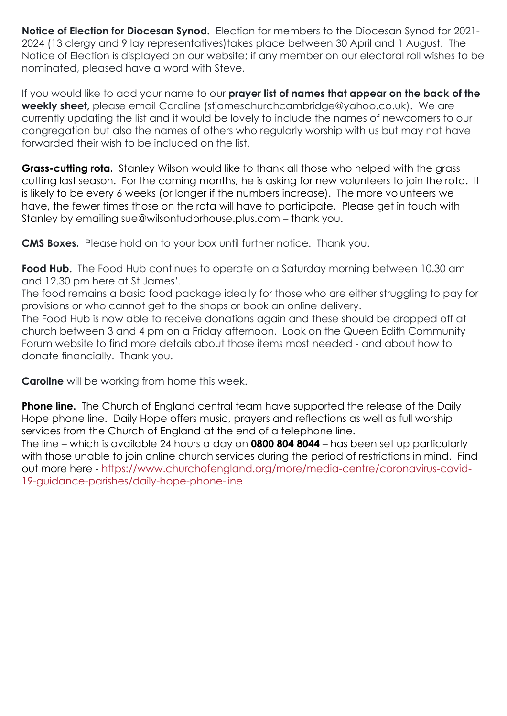**Notice of Election for Diocesan Synod.** Election for members to the Diocesan Synod for 2021- 2024 (13 clergy and 9 lay representatives)takes place between 30 April and 1 August. The Notice of Election is displayed on our website; if any member on our electoral roll wishes to be nominated, pleased have a word with Steve.

If you would like to add your name to our **prayer list of names that appear on the back of the weekly sheet,** please email Caroline (stjameschurchcambridge@yahoo.co.uk). We are currently updating the list and it would be lovely to include the names of newcomers to our congregation but also the names of others who regularly worship with us but may not have forwarded their wish to be included on the list.

**Grass-cutting rota.** Stanley Wilson would like to thank all those who helped with the grass cutting last season. For the coming months, he is asking for new volunteers to join the rota. It is likely to be every 6 weeks (or longer if the numbers increase). The more volunteers we have, the fewer times those on the rota will have to participate. Please get in touch with Stanley by emailing sue@wilsontudorhouse.plus.com – thank you.

**CMS Boxes.** Please hold on to your box until further notice. Thank you.

**Food Hub.** The Food Hub continues to operate on a Saturday morning between 10.30 am and 12.30 pm here at St James'.

The food remains a basic food package ideally for those who are either struggling to pay for provisions or who cannot get to the shops or book an online delivery.

The Food Hub is now able to receive donations again and these should be dropped off at church between 3 and 4 pm on a Friday afternoon. Look on the Queen Edith Community Forum website to find more details about those items most needed - and about how to donate financially. Thank you.

**Caroline** will be working from home this week.

**Phone line.** The Church of England central team have supported the release of the Daily Hope phone line. Daily Hope offers music, prayers and reflections as well as full worship services from the Church of England at the end of a telephone line.

The line – which is available 24 hours a day on **0800 804 8044** – has been set up particularly with those unable to join online church services during the period of restrictions in mind. Find out more here - [https://www.churchofengland.org/more/media-centre/coronavirus-covid-](https://www.churchofengland.org/more/media-centre/coronavirus-covid-19-guidance-parishes/daily-hope-phone-line)[19-guidance-parishes/daily-hope-phone-line](https://www.churchofengland.org/more/media-centre/coronavirus-covid-19-guidance-parishes/daily-hope-phone-line)